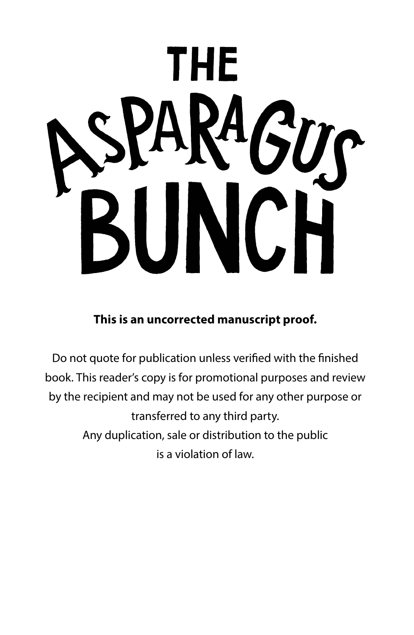# 'HF

**This is an uncorrected manuscript proof.** 

Do not quote for publication unless verified with the finished book. This reader's copy is for promotional purposes and review by the recipient and may not be used for any other purpose or transferred to any third party. Any duplication, sale or distribution to the public is a violation of law.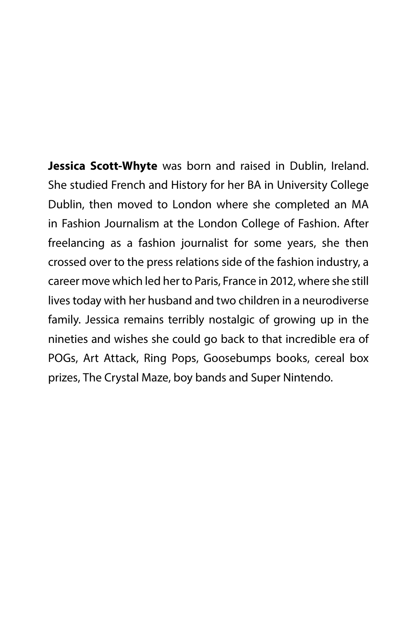**Jessica Scott-Whyte** was born and raised in Dublin, Ireland. She studied French and History for her BA in University College Dublin, then moved to London where she completed an MA in Fashion Journalism at the London College of Fashion. After freelancing as a fashion journalist for some years, she then crossed over to the press relations side of the fashion industry, a career move which led her to Paris, France in 2012, where she still lives today with her husband and two children in a neurodiverse family. Jessica remains terribly nostalgic of growing up in the nineties and wishes she could go back to that incredible era of POGs, Art Attack, Ring Pops, Goosebumps books, cereal box prizes, The Crystal Maze, boy bands and Super Nintendo.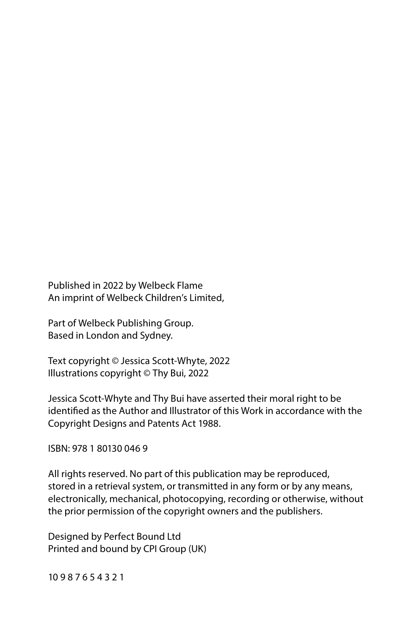Published in 2022 by Welbeck Flame An imprint of Welbeck Children's Limited,

Part of Welbeck Publishing Group. Based in London and Sydney.

Text copyright © Jessica Scott-Whyte, 2022 Illustrations copyright © Thy Bui, 2022

Jessica Scott-Whyte and Thy Bui have asserted their moral right to be identified as the Author and Illustrator of this Work in accordance with the Copyright Designs and Patents Act 1988.

ISBN: 978 1 80130 046 9

All rights reserved. No part of this publication may be reproduced, stored in a retrieval system, or transmitted in any form or by any means, electronically, mechanical, photocopying, recording or otherwise, without the prior permission of the copyright owners and the publishers.

Designed by Perfect Bound Ltd Printed and bound by CPI Group (UK)

10 9 8 7 6 5 4 3 2 1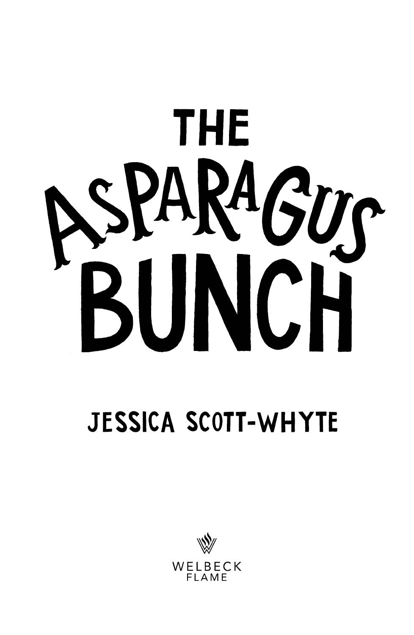

## **JESSICA SCOTT-WHYTE**

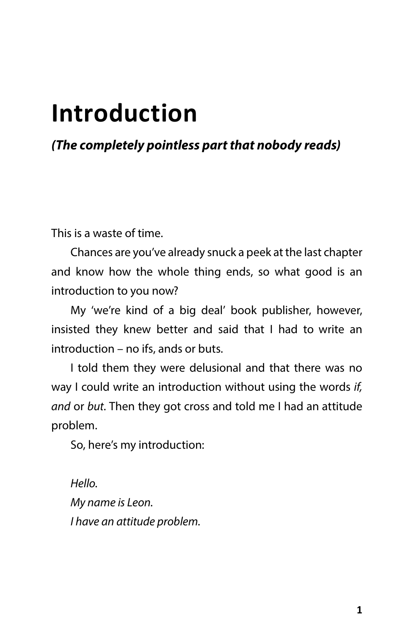## **Introduction**

#### *(The completely pointless part that nobody reads)*

This is a waste of time.

Chances are you've already snuck a peek at the last chapter and know how the whole thing ends, so what good is an introduction to you now?

My 'we're kind of a big deal' book publisher, however, insisted they knew better and said that I had to write an introduction – no ifs, ands or buts*.*

I told them they were delusional and that there was no way I could write an introduction without using the words *if, and* or *but*. Then they got cross and told me I had an attitude problem.

So, here's my introduction:

*Hello. My name is Leon. I have an attitude problem.*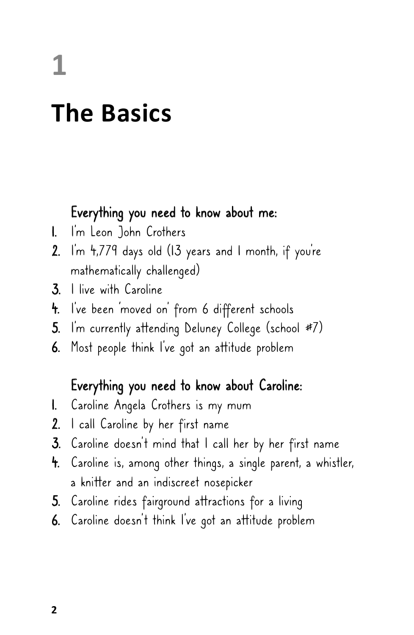**1**

### **The Basics**

#### Everything you need to know about me:

- 1. I'm Leon John Crothers
- 2. I'm 4,779 days old (13 years and 1 month, if you're mathematically challenged)
- 3. I live with Caroline
- 4. I've been 'moved on' from 6 different schools
- 5. I'm currently attending Deluney College (school #7)
- 6. Most people think I've got an attitude problem

#### Everything you need to know about Caroline:

- 1. Caroline Angela Crothers is my mum
- 2. I call Caroline by her first name
- 3. Caroline doesn't mind that I call her by her first name
- 4. Caroline is, among other things, a single parent, a whistler, a knitter and an indiscreet nosepicker
- 5. Caroline rides fairground attractions for a living
- 6. Caroline doesn't think I've got an attitude problem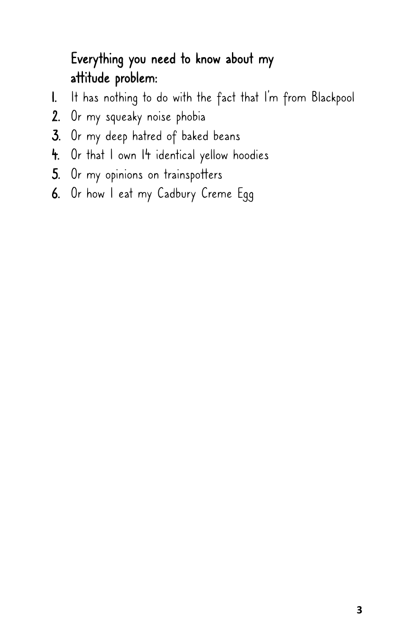#### Everything you need to know about my attitude problem:

- 1. It has nothing to do with the fact that I'm from Blackpool
- 2. Or my squeaky noise phobia
- 3. Or my deep hatred of baked beans
- 4. Or that I own I4 identical yellow hoodies
- 5. Or my opinions on trainspotters
- 6. Or how I eat my Cadbury Creme Egg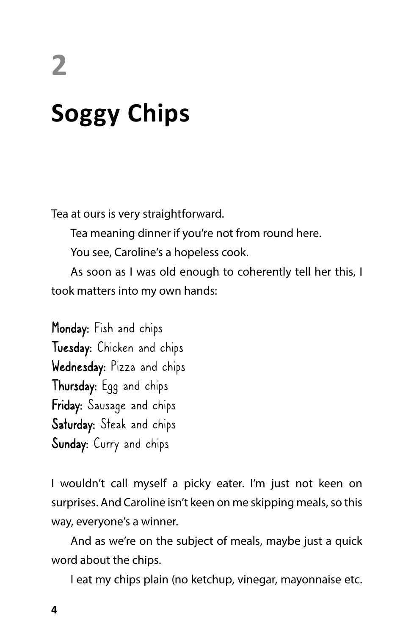# **2 Soggy Chips**

Tea at ours is very straightforward.

Tea meaning dinner if you're not from round here.

You see, Caroline's a hopeless cook.

As soon as I was old enough to coherently tell her this, I took matters into my own hands:

Monday: Fish and chips Tuesday: Chicken and chips Wednesday: Pizza and chips Thursday: Egg and chips Friday: Sausage and chips Saturday: Steak and chips Sunday: Curry and chips

I wouldn't call myself a picky eater. I'm just not keen on surprises. And Caroline isn't keen on me skipping meals, so this way, everyone's a winner.

And as we're on the subject of meals, maybe just a quick word about the chips.

I eat my chips plain (no ketchup, vinegar, mayonnaise etc.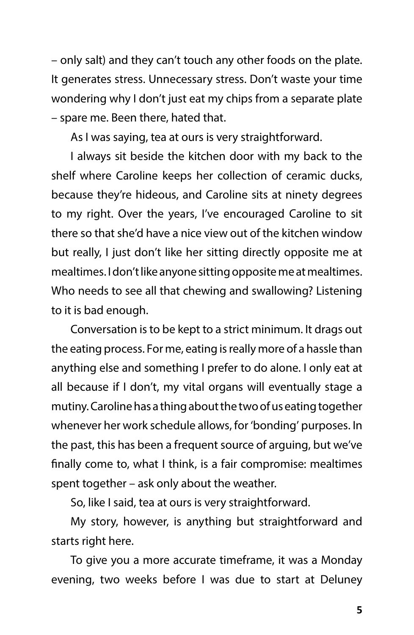– only salt) and they can't touch any other foods on the plate. It generates stress. Unnecessary stress. Don't waste your time wondering why I don't just eat my chips from a separate plate – spare me. Been there, hated that.

As I was saying, tea at ours is very straightforward.

I always sit beside the kitchen door with my back to the shelf where Caroline keeps her collection of ceramic ducks, because they're hideous, and Caroline sits at ninety degrees to my right. Over the years, I've encouraged Caroline to sit there so that she'd have a nice view out of the kitchen window but really, I just don't like her sitting directly opposite me at mealtimes. I don't like anyone sitting opposite me at mealtimes. Who needs to see all that chewing and swallowing? Listening to it is bad enough.

Conversation is to be kept to a strict minimum. It drags out the eating process. For me, eating is really more of a hassle than anything else and something I prefer to do alone. I only eat at all because if I don't, my vital organs will eventually stage a mutiny. Caroline has a thing about the two of us eating together whenever her work schedule allows, for 'bonding' purposes. In the past, this has been a frequent source of arguing, but we've finally come to, what I think, is a fair compromise: mealtimes spent together – ask only about the weather.

So, like I said, tea at ours is very straightforward.

My story, however, is anything but straightforward and starts right here.

To give you a more accurate timeframe, it was a Monday evening, two weeks before I was due to start at Deluney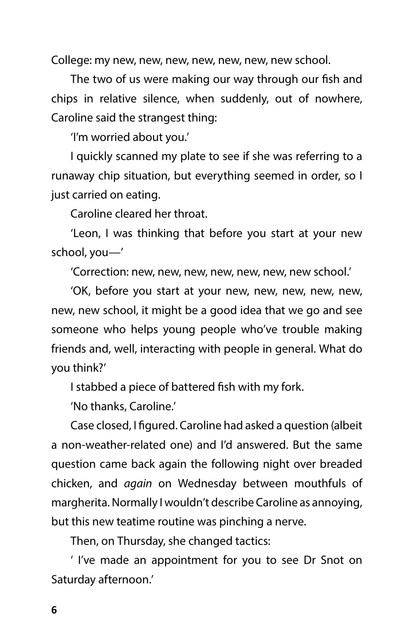College: my new, new, new, new, new, new, new school.

The two of us were making our way through our fish and chips in relative silence, when suddenly, out of nowhere, Caroline said the strangest thing:

'I'm worried about you.'

I quickly scanned my plate to see if she was referring to a runaway chip situation, but everything seemed in order, so I just carried on eating.

Caroline cleared her throat.

'Leon, I was thinking that before you start at your new school, you—'

'Correction: new, new, new, new, new, new, new school.'

'OK, before you start at your new, new, new, new, new, new, new school, it might be a good idea that we go and see someone who helps young people who've trouble making friends and, well, interacting with people in general. What do you think?'

I stabbed a piece of battered fish with my fork.

'No thanks, Caroline.'

Case closed, I figured. Caroline had asked a question (albeit a non-weather-related one) and I'd answered. But the same question came back again the following night over breaded chicken, and *again* on Wednesday between mouthfuls of margherita. Normally I wouldn't describe Caroline as annoying, but this new teatime routine was pinching a nerve.

Then, on Thursday, she changed tactics:

' I've made an appointment for you to see Dr Snot on Saturday afternoon.'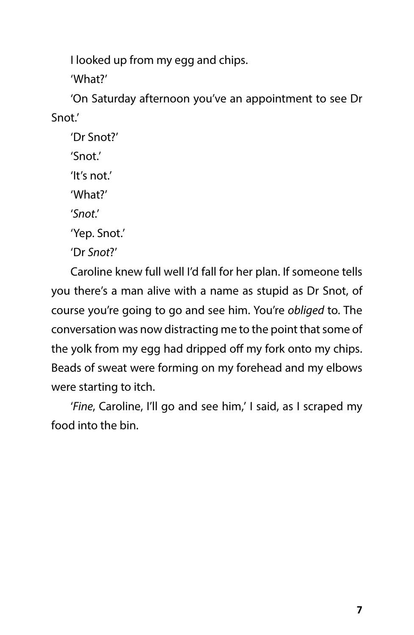I looked up from my egg and chips.

'What?'

'On Saturday afternoon you've an appointment to see Dr Snot.'

'Dr Snot?' 'Snot.' 'It's not'. 'What?' '*Snot*.'

'Yep. Snot.'

'Dr *Snot*?'

Caroline knew full well I'd fall for her plan. If someone tells you there's a man alive with a name as stupid as Dr Snot, of course you're going to go and see him. You're *obliged* to. The conversation was now distracting me to the point that some of the yolk from my egg had dripped off my fork onto my chips. Beads of sweat were forming on my forehead and my elbows were starting to itch.

'*Fine*, Caroline, I'll go and see him,' I said, as I scraped my food into the bin.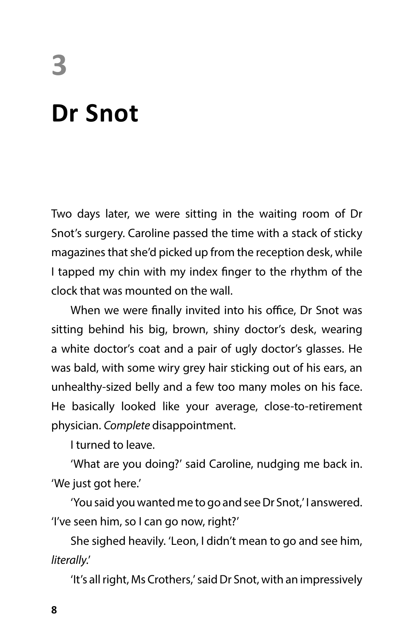# **3 Dr Snot**

Two days later, we were sitting in the waiting room of Dr Snot's surgery. Caroline passed the time with a stack of sticky magazines that she'd picked up from the reception desk, while I tapped my chin with my index finger to the rhythm of the clock that was mounted on the wall.

When we were finally invited into his office, Dr Snot was sitting behind his big, brown, shiny doctor's desk, wearing a white doctor's coat and a pair of ugly doctor's glasses. He was bald, with some wiry grey hair sticking out of his ears, an unhealthy-sized belly and a few too many moles on his face. He basically looked like your average, close-to-retirement physician. *Complete* disappointment.

I turned to leave.

'What are you doing?' said Caroline, nudging me back in. 'We just got here.'

'You said you wanted me to go and see Dr Snot,' I answered. 'I've seen him, so I can go now, right?'

She sighed heavily. 'Leon, I didn't mean to go and see him, *literally*.'

'It's all right, Ms Crothers,' said Dr Snot, with an impressively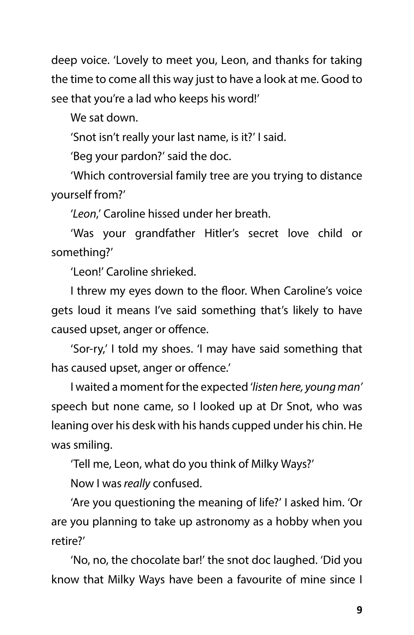deep voice. 'Lovely to meet you, Leon, and thanks for taking the time to come all this way just to have a look at me. Good to see that you're a lad who keeps his word!'

We sat down.

'Snot isn't really your last name, is it?' I said.

'Beg your pardon?' said the doc.

'Which controversial family tree are you trying to distance yourself from?'

'*Leon*,' Caroline hissed under her breath.

'Was your grandfather Hitler's secret love child or something?'

'Leon!' Caroline shrieked.

I threw my eyes down to the floor. When Caroline's voice gets loud it means I've said something that's likely to have caused upset, anger or offence.

'Sor-ry,' I told my shoes. 'I may have said something that has caused upset, anger or offence.'

I waited a moment for the expected '*listen here, young man'* speech but none came, so I looked up at Dr Snot, who was leaning over his desk with his hands cupped under his chin. He was smiling.

'Tell me, Leon, what do you think of Milky Ways?'

Now I was *really* confused.

'Are you questioning the meaning of life?' I asked him. 'Or are you planning to take up astronomy as a hobby when you retire?'

'No, no, the chocolate bar!' the snot doc laughed. 'Did you know that Milky Ways have been a favourite of mine since I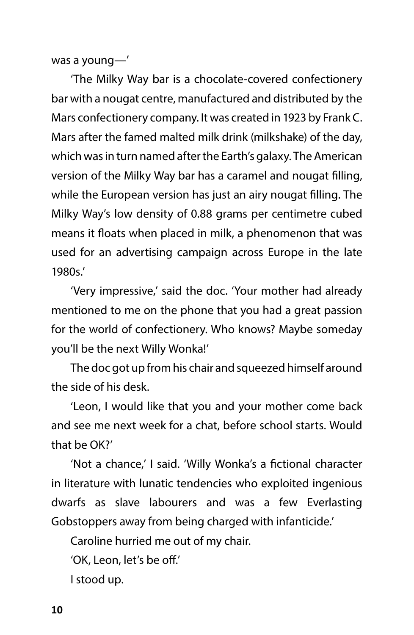was a young—'

'The Milky Way bar is a chocolate-covered confectionery bar with a nougat centre, manufactured and distributed by the Mars confectionery company. It was created in 1923 by Frank C. Mars after the famed malted milk drink (milkshake) of the day, which was in turn named after the Earth's galaxy. The American version of the Milky Way bar has a caramel and nougat filling, while the European version has just an airy nougat filling. The Milky Way's low density of 0.88 grams per centimetre cubed means it floats when placed in milk, a phenomenon that was used for an advertising campaign across Europe in the late 1980s.'

'Very impressive,' said the doc. 'Your mother had already mentioned to me on the phone that you had a great passion for the world of confectionery. Who knows? Maybe someday you'll be the next Willy Wonka!'

The doc got up from his chair and squeezed himself around the side of his desk.

'Leon, I would like that you and your mother come back and see me next week for a chat, before school starts. Would that be OK?'

'Not a chance,' I said. 'Willy Wonka's a fictional character in literature with lunatic tendencies who exploited ingenious dwarfs as slave labourers and was a few Everlasting Gobstoppers away from being charged with infanticide.'

Caroline hurried me out of my chair.

'OK, Leon, let's be off.'

I stood up.